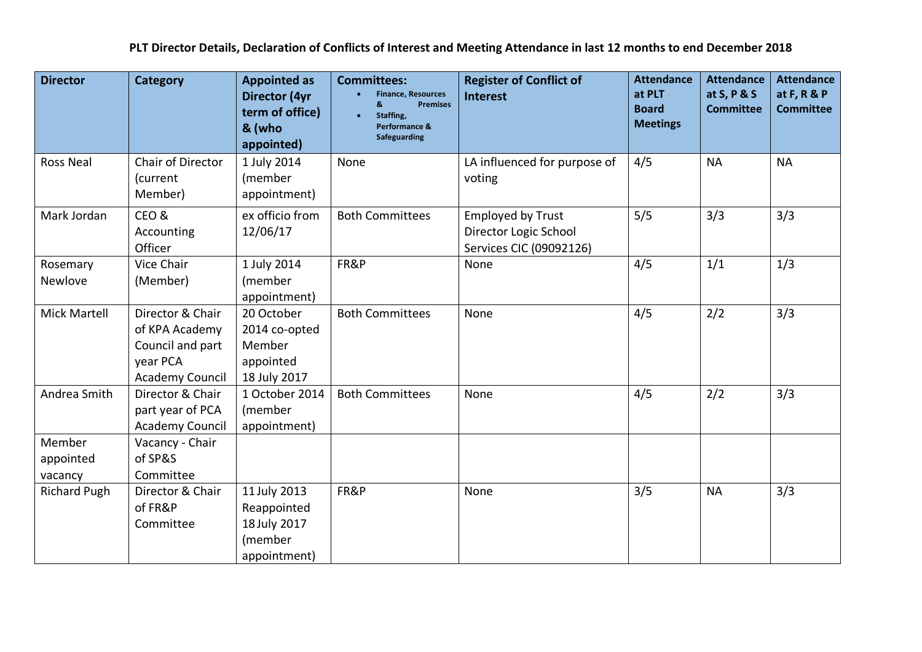**PLT Director Details, Declaration of Conflicts of Interest and Meeting Attendance in last 12 months to end December 2018**

| <b>Director</b>                | <b>Category</b>                                                                       | <b>Appointed as</b><br>Director (4yr<br>term of office)<br>& (who<br>appointed) | <b>Committees:</b><br><b>Finance, Resources</b><br><b>Premises</b><br>&<br>Staffing,<br>Performance &<br><b>Safeguarding</b> | <b>Register of Conflict of</b><br><b>Interest</b>                            | <b>Attendance</b><br>at PLT<br><b>Board</b><br><b>Meetings</b> | <b>Attendance</b><br>at S, P & S<br><b>Committee</b> | <b>Attendance</b><br>at F, R & P<br><b>Committee</b> |
|--------------------------------|---------------------------------------------------------------------------------------|---------------------------------------------------------------------------------|------------------------------------------------------------------------------------------------------------------------------|------------------------------------------------------------------------------|----------------------------------------------------------------|------------------------------------------------------|------------------------------------------------------|
| <b>Ross Neal</b>               | Chair of Director<br>(current<br>Member)                                              | 1 July 2014<br>(member<br>appointment)                                          | None                                                                                                                         | LA influenced for purpose of<br>voting                                       | 4/5                                                            | <b>NA</b>                                            | <b>NA</b>                                            |
| Mark Jordan                    | CEO&<br>Accounting<br>Officer                                                         | ex officio from<br>12/06/17                                                     | <b>Both Committees</b>                                                                                                       | <b>Employed by Trust</b><br>Director Logic School<br>Services CIC (09092126) | 5/5                                                            | 3/3                                                  | 3/3                                                  |
| Rosemary<br>Newlove            | Vice Chair<br>(Member)                                                                | 1 July 2014<br>(member<br>appointment)                                          | FR&P                                                                                                                         | None                                                                         | 4/5                                                            | 1/1                                                  | 1/3                                                  |
| <b>Mick Martell</b>            | Director & Chair<br>of KPA Academy<br>Council and part<br>year PCA<br>Academy Council | 20 October<br>2014 co-opted<br>Member<br>appointed<br>18 July 2017              | <b>Both Committees</b>                                                                                                       | None                                                                         | 4/5                                                            | 2/2                                                  | 3/3                                                  |
| Andrea Smith                   | Director & Chair<br>part year of PCA<br><b>Academy Council</b>                        | 1 October 2014<br>(member<br>appointment)                                       | <b>Both Committees</b>                                                                                                       | None                                                                         | 4/5                                                            | 2/2                                                  | 3/3                                                  |
| Member<br>appointed<br>vacancy | Vacancy - Chair<br>of SP&S<br>Committee                                               |                                                                                 |                                                                                                                              |                                                                              |                                                                |                                                      |                                                      |
| <b>Richard Pugh</b>            | Director & Chair<br>of FR&P<br>Committee                                              | 11 July 2013<br>Reappointed<br>18 July 2017<br>(member<br>appointment)          | FR&P                                                                                                                         | None                                                                         | 3/5                                                            | <b>NA</b>                                            | 3/3                                                  |